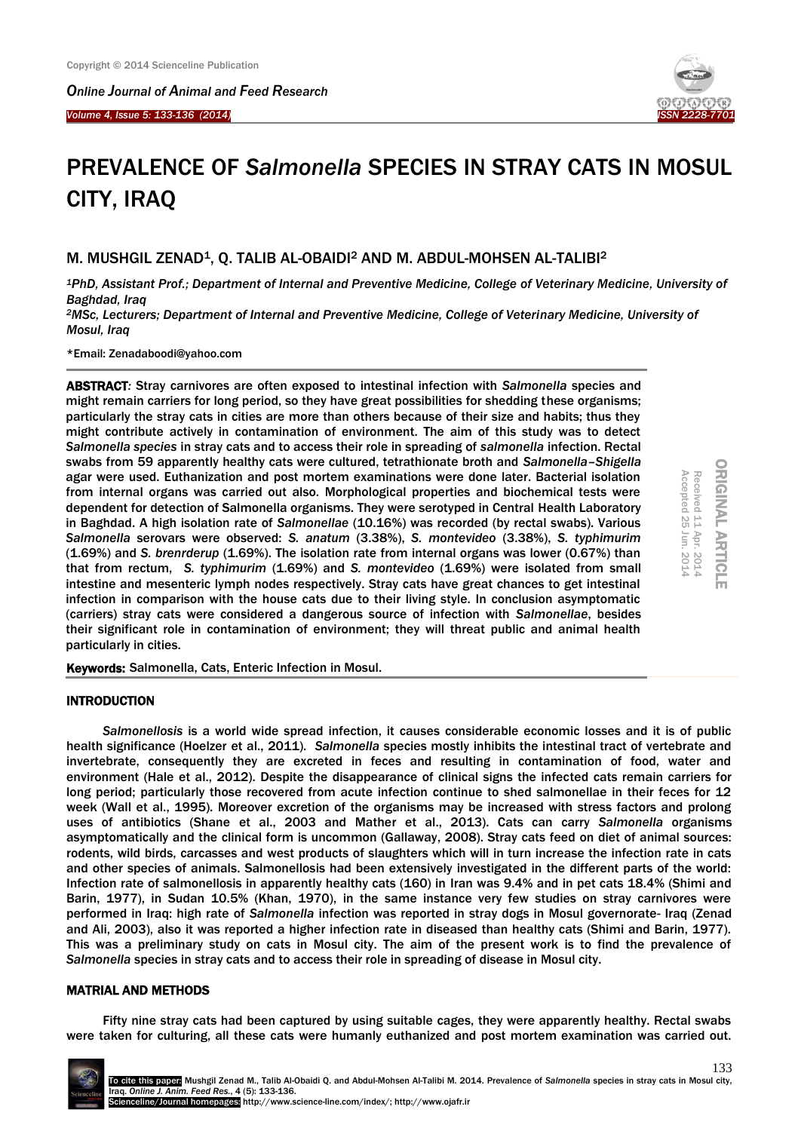*Online Journal of Animal and Feed Research* 

*Volume 4, Issue 5: 133-136 (2014)*  Ĩ



ORIGINAL ARTICLE

**ORIGINAL ARTICLE** 

Received 11 Apr. 2014<br>Accepted 25 Jun. 2014

Accepted 25

Apr. 2014

Jun. 2014

# PREVALENCE OF *Salmonella* SPECIES IN STRAY CATS IN MOSUL CITY, IRAQ

M. MUSHGIL ZENAD<sup>1</sup>, O. TALIB AL-OBAIDI<sup>2</sup> AND M. ABDUL-MOHSEN AL-TALIBI<sup>2</sup>

*<sup>1</sup>PhD, Assistant Prof.; Department of Internal and Preventive Medicine, College of Veterinary Medicine, University of Baghdad, Iraq*

*<sup>2</sup>MSc, Lecturers; Department of Internal and Preventive Medicine, College of Veterinary Medicine, University of Mosul, Iraq*

\*Email: Zenadaboodi@yahoo.com

ABSTRACT*:* Stray carnivores are often exposed to intestinal infection with *Salmonella* species and might remain carriers for long period, so they have great possibilities for shedding these organisms; particularly the stray cats in cities are more than others because of their size and habits; thus they might contribute actively in contamination of environment. The aim of this study was to detect *Salmonella species* in stray cats and to access their role in spreading of *salmonella* infection. Rectal swabs from 59 apparently healthy cats were cultured, tetrathionate broth and *Salmonella*–*Shigella* agar were used. Euthanization and post mortem examinations were done later. Bacterial isolation from internal organs was carried out also. Morphological properties and biochemical tests were dependent for detection of Salmonella organisms. They were serotyped in Central Health Laboratory in Baghdad. A high isolation rate of *Salmonellae* (10.16%) was recorded (by rectal swabs). Various *Salmonella* serovars were observed: *S. anatum* (3.38%), *S. montevideo* (3.38%), *S. typhimurim* (1.69%) and *S. brenrderup* (1.69%). The isolation rate from internal organs was lower (0.67%) than that from rectum, *S. typhimurim* (1.69%) and *S. montevideo* (1.69%) were isolated from small intestine and mesenteric lymph nodes respectively. Stray cats have great chances to get intestinal infection in comparison with the house cats due to their living style. In conclusion asymptomatic (carriers) stray cats were considered a dangerous source of infection with *Salmonellae*, besides their significant role in contamination of environment; they will threat public and animal health particularly in cities.

Keywords: Salmonella, Cats, Enteric Infection in Mosul.

# INTRODUCTION

*Salmonellosis* is a world wide spread infection, it causes considerable economic losses and it is of public health significance (Hoelzer et al., 2011). *Salmonella* species mostly inhibits the intestinal tract of vertebrate and invertebrate, consequently they are excreted in feces and resulting in contamination of food, water and environment (Hale et al., 2012). Despite the disappearance of clinical signs the infected cats remain carriers for long period; particularly those recovered from acute infection continue to shed salmonellae in their feces for 12 week (Wall et al., 1995). Moreover excretion of the organisms may be increased with stress factors and prolong uses of antibiotics (Shane et al., 2003 and Mather et al., 2013). Cats can carry *Salmonella* organisms asymptomatically and the clinical form is uncommon (Gallaway, 2008). Stray cats feed on diet of animal sources: rodents, wild birds, carcasses and west products of slaughters which will in turn increase the infection rate in cats and other species of animals. Salmonellosis had been extensively investigated in the different parts of the world: Infection rate of salmonellosis in apparently healthy cats (160) in Iran was 9.4% and in pet cats 18.4% (Shimi and Barin, 1977), in Sudan 10.5% (Khan, 1970), in the same instance very few studies on stray carnivores were performed in Iraq: high rate of *Salmonella* infection was reported in stray dogs in Mosul governorate- Iraq (Zenad and Ali, 2003), also it was reported a higher infection rate in diseased than healthy cats (Shimi and Barin, 1977). This was a preliminary study on cats in Mosul city. The aim of the present work is to find the prevalence of *Salmonella* species in stray cats and to access their role in spreading of disease in Mosul city.

# MATRIAL AND METHODS

Fifty nine stray cats had been captured by using suitable cages, they were apparently healthy. Rectal swabs were taken for culturing, all these cats were humanly euthanized and post mortem examination was carried out.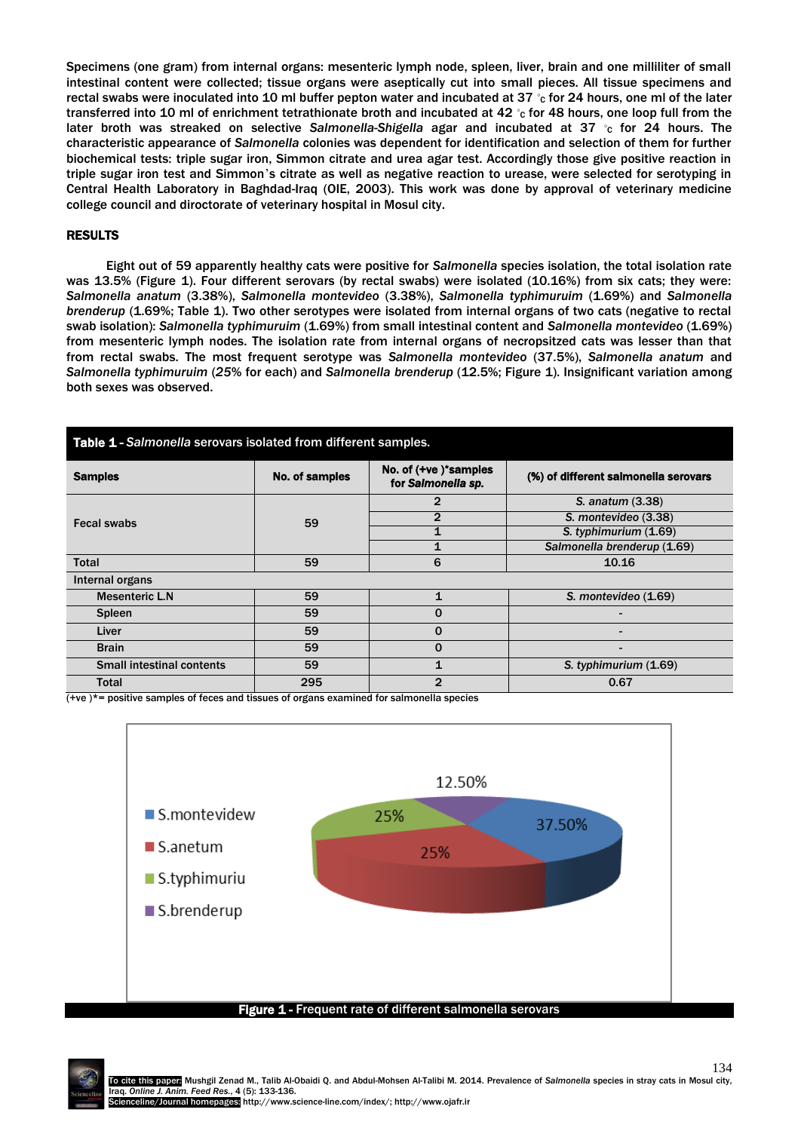Specimens (one gram) from internal organs: mesenteric lymph node, spleen, liver, brain and one milliliter of small intestinal content were collected; tissue organs were aseptically cut into small pieces. All tissue specimens and rectal swabs were inoculated into 10 ml buffer pepton water and incubated at 37 ℃ for 24 hours, one ml of the later transferred into 10 ml of enrichment tetrathionate broth and incubated at 42 ℃ for 48 hours, one loop full from the later broth was streaked on selective *Salmonella*-*Shigella* agar and incubated at 37 ◦ <sup>C</sup> for 24 hours. The characteristic appearance of *Salmonella* colonies was dependent for identification and selection of them for further biochemical tests: triple sugar iron, Simmon citrate and urea agar test. Accordingly those give positive reaction in triple sugar iron test and Simmon's citrate as well as negative reaction to urease, were selected for serotyping in Central Health Laboratory in Baghdad-Iraq (OIE, 2003). This work was done by approval of veterinary medicine college council and diroctorate of veterinary hospital in Mosul city.

### RESULTS

Eight out of 59 apparently healthy cats were positive for *Salmonella* species isolation, the total isolation rate was 13.5% (Figure 1). Four different serovars (by rectal swabs) were isolated (10.16%) from six cats; they were: *Salmonella anatum* (3.38%), *Salmonella montevideo* (3.38%), *Salmonella typhimuruim* (1.69%) and *Salmonella brenderup* (1.69%; Table 1). Two other serotypes were isolated from internal organs of two cats (negative to rectal swab isolation): *Salmonella typhimuruim* (1.69%) from small intestinal content and *Salmonella montevideo* (1.69%) from mesenteric lymph nodes. The isolation rate from internal organs of necropsitzed cats was lesser than that from rectal swabs. The most frequent serotype was *Salmonella montevideo* (37.5%), *Salmonella anatum* and *Salmonella typhimuruim* (*25*% for each) and *Salmonella brenderup* (12.5%; Figure 1). Insignificant variation among both sexes was observed.

| <b>Table 1 - Salmonella serovars isolated from different samples.</b> |                |                                            |                                      |
|-----------------------------------------------------------------------|----------------|--------------------------------------------|--------------------------------------|
| <b>Samples</b>                                                        | No. of samples | No. of (+ve)*samples<br>for Salmonella sp. | (%) of different salmonella serovars |
| Fecal swabs                                                           | 59             | $\mathbf{2}$                               | S. anatum (3.38)                     |
|                                                                       |                | $\mathbf{2}$                               | S. montevideo (3.38)                 |
|                                                                       |                |                                            | S. typhimurium (1.69)                |
|                                                                       |                |                                            | Salmonella brenderup (1.69)          |
| <b>Total</b>                                                          | 59             | 6                                          | 10.16                                |
| Internal organs                                                       |                |                                            |                                      |
| <b>Mesenteric L.N</b>                                                 | 59             | $\mathbf{1}$                               | S. montevideo (1.69)                 |
| <b>Spleen</b>                                                         | 59             | $\Omega$                                   |                                      |
| Liver                                                                 | 59             | $\Omega$                                   |                                      |
| <b>Brain</b>                                                          | 59             | $\Omega$                                   |                                      |
| <b>Small intestinal contents</b>                                      | 59             |                                            | S. typhimurium (1.69)                |
| Total                                                                 | 295            | $\mathbf{2}$                               | 0.67                                 |

 $(+ve)^*$  positive samples of feces and tissues of organs examined for salmonella species



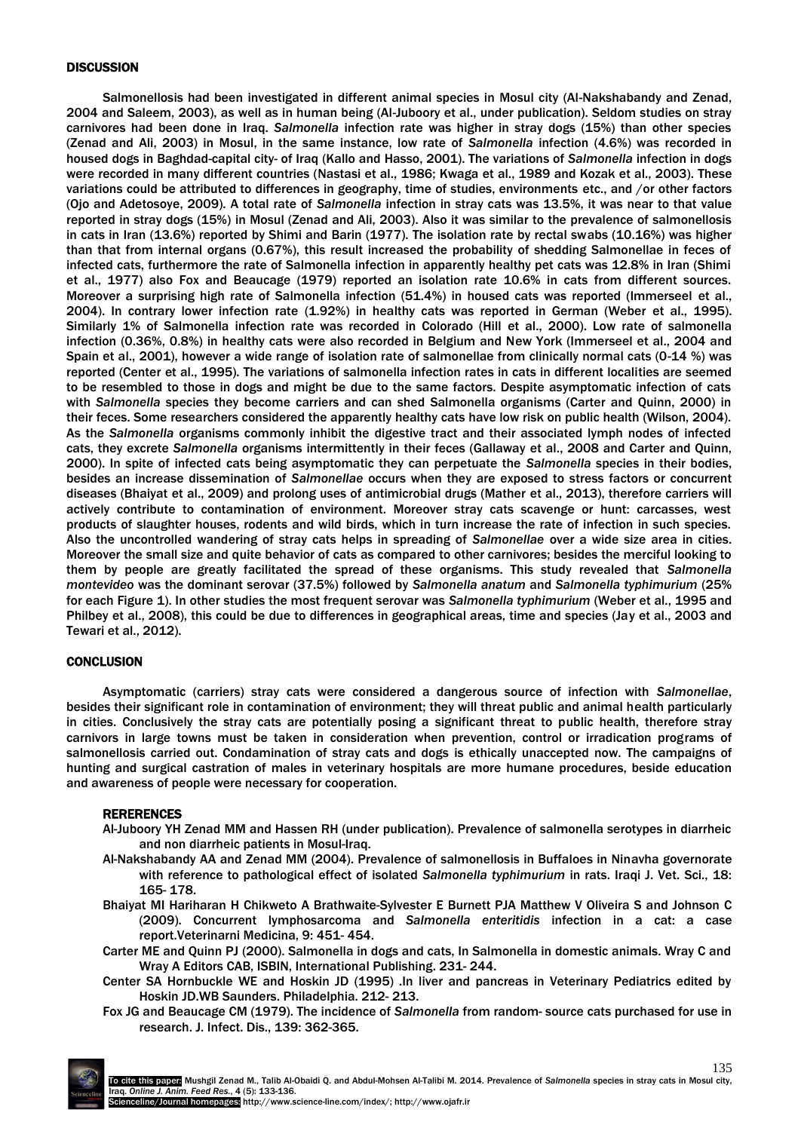### **DISCUSSION**

Salmonellosis had been investigated in different animal species in Mosul city (Al-Nakshabandy and Zenad, 2004 and Saleem, 2003), as well as in human being (Al-Juboory et al., under publication). Seldom studies on stray carnivores had been done in Iraq. *Salmonella* infection rate was higher in stray dogs (15%) than other species (Zenad and Ali, 2003) in Mosul, in the same instance, low rate of *Salmonella* infection (4.6%) was recorded in housed dogs in Baghdad-capital city- of Iraq (Kallo and Hasso, 2001). The variations of *Salmonella* infection in dogs were recorded in many different countries (Nastasi et al., 1986; Kwaga et al., 1989 and Kozak et al., 2003). These variations could be attributed to differences in geography, time of studies, environments etc., and /or other factors (Ojo and Adetosoye, 2009). A total rate of *Salmonella* infection in stray cats was 13.5%, it was near to that value reported in stray dogs (15%) in Mosul (Zenad and Ali, 2003). Also it was similar to the prevalence of salmonellosis in cats in Iran (13.6%) reported by Shimi and Barin (1977). The isolation rate by rectal swabs (10.16%) was higher than that from internal organs (0.67%), this result increased the probability of shedding Salmonellae in feces of infected cats, furthermore the rate of Salmonella infection in apparently healthy pet cats was 12.8% in Iran (Shimi et al., 1977) also Fox and Beaucage (1979) reported an isolation rate 10.6% in cats from different sources. Moreover a surprising high rate of Salmonella infection (51.4%) in housed cats was reported (Immerseel et al., 2004). In contrary lower infection rate (1.92%) in healthy cats was reported in German (Weber et al., 1995). Similarly 1% of Salmonella infection rate was recorded in Colorado (Hill et al., 2000). Low rate of salmonella infection (0.36%, 0.8%) in healthy cats were also recorded in Belgium and New York (Immerseel et al., 2004 and Spain et al., 2001), however a wide range of isolation rate of salmonellae from clinically normal cats (0-14 %) was reported (Center et al., 1995). The variations of salmonella infection rates in cats in different localities are seemed to be resembled to those in dogs and might be due to the same factors. Despite asymptomatic infection of cats with *Salmonella* species they become carriers and can shed Salmonella organisms (Carter and Quinn, 2000) in their feces. Some researchers considered the apparently healthy cats have low risk on public health (Wilson, 2004). As the *Salmonella* organisms commonly inhibit the digestive tract and their associated lymph nodes of infected cats, they excrete *Salmonella* organisms intermittently in their feces (Gallaway et al., 2008 and Carter and Quinn, 2000). In spite of infected cats being asymptomatic they can perpetuate the *Salmonella* species in their bodies, besides an increase dissemination of *Salmonellae* occurs when they are exposed to stress factors or concurrent diseases (Bhaiyat et al., 2009) and prolong uses of antimicrobial drugs (Mather et al., 2013), therefore carriers will actively contribute to contamination of environment. Moreover stray cats scavenge or hunt: carcasses, west products of slaughter houses, rodents and wild birds, which in turn increase the rate of infection in such species. Also the uncontrolled wandering of stray cats helps in spreading of *Salmonellae* over a wide size area in cities. Moreover the small size and quite behavior of cats as compared to other carnivores; besides the merciful looking to them by people are greatly facilitated the spread of these organisms. This study revealed that *Salmonella montevideo* was the dominant serovar (37.5%) followed by *Salmonella anatum* and *Salmonella typhimurium* (25% for each Figure 1). In other studies the most frequent serovar was *Salmonella typhimurium* (Weber et al., 1995 and Philbey et al., 2008), this could be due to differences in geographical areas, time and species (Jay et al., 2003 and Tewari et al., 2012).

# **CONCLUSION**

Asymptomatic (carriers) stray cats were considered a dangerous source of infection with *Salmonellae*, besides their significant role in contamination of environment; they will threat public and animal health particularly in cities. Conclusively the stray cats are potentially posing a significant threat to public health, therefore stray carnivors in large towns must be taken in consideration when prevention, control or irradication programs of salmonellosis carried out. Condamination of stray cats and dogs is ethically unaccepted now. The campaigns of hunting and surgical castration of males in veterinary hospitals are more humane procedures, beside education and awareness of people were necessary for cooperation.

#### RERERENCES

- Al-Juboory YH Zenad MM and Hassen RH (under publication). Prevalence of salmonella serotypes in diarrheic and non diarrheic patients in Mosul-Iraq.
- Al-Nakshabandy AA and Zenad MM (2004). Prevalence of salmonellosis in Buffaloes in Ninavha governorate with reference to pathological effect of isolated *Salmonella typhimurium* in rats. Iraqi J. Vet. Sci., 18: 165- 178.
- Bhaiyat MI Hariharan H Chikweto A Brathwaite-Sylvester E Burnett PJA Matthew V Oliveira S and Johnson C (2009). Concurrent lymphosarcoma and *Salmonella enteritidis* infection in a cat: a case report.Veterinarni Medicina, 9: 451- 454.
- Carter ME and Quinn PJ (2000). Salmonella in dogs and cats, In Salmonella in domestic animals. Wray C and Wray A Editors CAB, ISBIN, International Publishing. 231- 244.
- Center SA Hornbuckle WE and Hoskin JD (1995) .In liver and pancreas in Veterinary Pediatrics edited by Hoskin JD.WB Saunders. Philadelphia. 212- 213.
- Fox JG and Beaucage CM (1979). The incidence of *Salmonella* from random- source cats purchased for use in research. J. Infect. Dis., 139: 362-365.